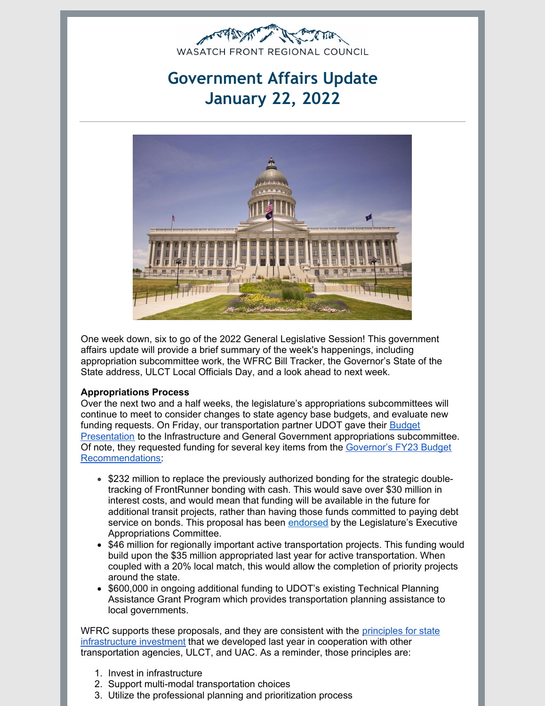

# **Government Affairs Update January 22, 2022**



One week down, six to go of the 2022 General Legislative Session! This government affairs update will provide a brief summary of the week's happenings, including appropriation subcommittee work, the WFRC Bill Tracker, the Governor's State of the State address, ULCT Local Officials Day, and a look ahead to next week.

#### **Appropriations Process**

Over the next two and a half weeks, the legislature's appropriations subcommittees will continue to meet to consider changes to state agency base budgets, and evaluate new funding requests. On Friday, our [transportation](https://le.utah.gov/interim/2022/pdf/00000378.pdf) partner UDOT gave their Budget Presentation to the Infrastructure and General Government appropriations subcommittee. Of note, they requested funding for several key items from the Governor's FY23 Budget [Recommendations:](https://gopb.utah.gov/wp-content/uploads/2021/12/2021_12_07-Budget-Book.pdf)

- \$232 million to replace the previously authorized bonding for the strategic doubletracking of FrontRunner bonding with cash. This would save over \$30 million in interest costs, and would mean that funding will be available in the future for additional transit projects, rather than having those funds committed to paying debt service on bonds. This proposal has been [endorsed](https://le.utah.gov/interim/2021/pdf/00004255.pdf) by the Legislature's Executive Appropriations Committee.
- \$46 million for regionally important active transportation projects. This funding would build upon the \$35 million appropriated last year for active transportation. When coupled with a 20% local match, this would allow the completion of priority projects around the state.
- \$600,000 in ongoing additional funding to UDOT's existing Technical Planning Assistance Grant Program which provides transportation planning assistance to local governments.

WFRC supports these proposals, and they are consistent with the *principles for state* [infrastructure](https://wfrc.org/PublicInvolvement/GovernmentalAffairs/JointLetterofSupportforInfrastructureInvestmentLegislature.pdf) investment that we developed last year in cooperation with other transportation agencies, ULCT, and UAC. As a reminder, those principles are:

- 1. Invest in infrastructure
- 2. Support multi-modal transportation choices
- 3. Utilize the professional planning and prioritization process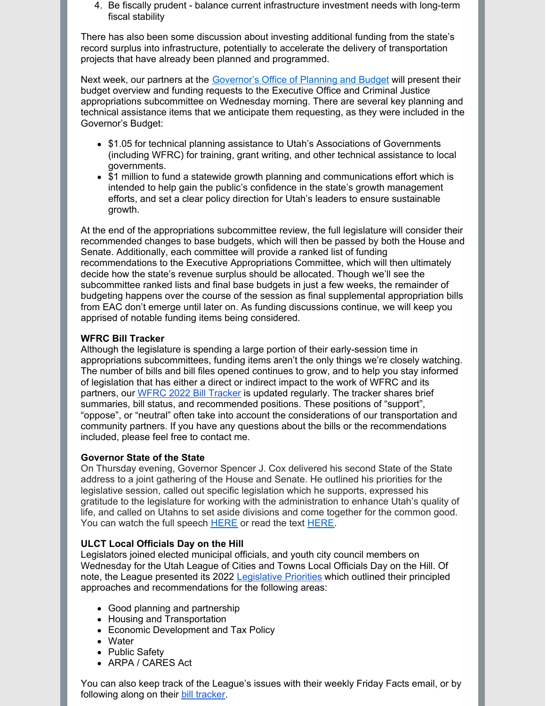4. Be fiscally prudent - balance current infrastructure investment needs with long-term fiscal stability

There has also been some discussion about investing additional funding from the state's record surplus into infrastructure, potentially to accelerate the delivery of transportation projects that have already been planned and programmed.

Next week, our partners at the [Governor's](https://gopb.utah.gov/) Office of Planning and Budget will present their budget overview and funding requests to the Executive Office and Criminal Justice appropriations subcommittee on Wednesday morning. There are several key planning and technical assistance items that we anticipate them requesting, as they were included in the Governor's Budget:

- \$1.05 for technical planning assistance to Utah's Associations of Governments (including WFRC) for training, grant writing, and other technical assistance to local governments.
- \$1 million to fund a statewide growth planning and communications effort which is intended to help gain the public's confidence in the state's growth management efforts, and set a clear policy direction for Utah's leaders to ensure sustainable growth.

At the end of the appropriations subcommittee review, the full legislature will consider their recommended changes to base budgets, which will then be passed by both the House and Senate. Additionally, each committee will provide a ranked list of funding recommendations to the Executive Appropriations Committee, which will then ultimately decide how the state's revenue surplus should be allocated. Though we'll see the subcommittee ranked lists and final base budgets in just a few weeks, the remainder of budgeting happens over the course of the session as final supplemental appropriation bills from EAC don't emerge until later on. As funding discussions continue, we will keep you apprised of notable funding items being considered.

### **WFRC Bill Tracker**

Although the legislature is spending a large portion of their early-session time in appropriations subcommittees, funding items aren't the only things we're closely watching. The number of bills and bill files opened continues to grow, and to help you stay informed of legislation that has either a direct or indirect impact to the work of WFRC and its partners, our WFRC 2022 Bill [Tracker](https://wfrc.org/billtracker/) is updated regularly. The tracker shares brief summaries, bill status, and recommended positions. These positions of "support", "oppose", or "neutral" often take into account the considerations of our transportation and community partners. If you have any questions about the bills or the recommendations included, please feel free to contact me.

#### **Governor State of the State**

On Thursday evening, Governor Spencer J. Cox delivered his second State of the State address to a joint gathering of the House and Senate. He outlined his priorities for the legislative session, called out specific legislation which he supports, expressed his gratitude to the legislature for working with the administration to enhance Utah's quality of life, and called on Utahns to set aside divisions and come together for the common good. You can watch the full speech [HERE](https://lnks.gd/l/eyJhbGciOiJIUzI1NiJ9.eyJidWxsZXRpbl9saW5rX2lkIjoxMDIsInVyaSI6ImJwMjpjbGljayIsImJ1bGxldGluX2lkIjoiMjAyMjAxMjEuNTIxOTExMDEiLCJ1cmwiOiJodHRwczovL2RyaXZlLmdvb2dsZS5jb20vZmlsZS9kLzFFU244WEhiSXFPaXkzYkpDLURidTRTbGNtdDVBOFdIdi92aWV3P3V0bV9tZWRpdW09ZW1haWwmdXRtX3NvdXJjZT1nb3ZkZWxpdmVyeSJ9.gvM1yAvCMPygu5bVQndPEobDGhrWeAGyBdEH2gvqNNE/s/1491680959/br/125481081493-l) or read the text HERE.

## **ULCT Local Officials Day on the Hill**

Legislators joined elected municipal officials, and youth city council members on Wednesday for the Utah League of Cities and Towns Local Officials Day on the Hill. Of note, the League presented its 2022 [Legislative](https://content.govdelivery.com/attachments/ULCT/2022/01/21/file_attachments/2055094/ULCT 2022 Legislative Pamphlet-2.pdf) Priorities which outlined their principled approaches and recommendations for the following areas:

- Good planning and partnership
- Housing and Transportation
- Economic Development and Tax Policy
- Water
- Public Safety
- ARPA / CARES Act

You can also keep track of the League's issues with their weekly Friday Facts email, or by following along on their bill [tracker](https://www.ulct.org/advocacy/bill-tracking?utm_medium=email&utm_source=govdelivery).